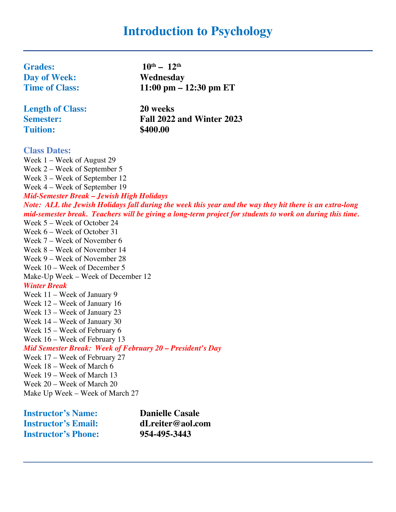# **Introduction to Psychology**

| <b>Grades:</b>                                            | $10^{\text{th}} - 12^{\text{th}}$                                                                         |
|-----------------------------------------------------------|-----------------------------------------------------------------------------------------------------------|
| <b>Day of Week:</b>                                       | Wednesday                                                                                                 |
| <b>Time of Class:</b>                                     | $11:00 \text{ pm} - 12:30 \text{ pm} \text{ ET}$                                                          |
| <b>Length of Class:</b>                                   | 20 weeks                                                                                                  |
| <b>Semester:</b>                                          | Fall 2022 and Winter 2023                                                                                 |
| <b>Tuition:</b>                                           | \$400.00                                                                                                  |
| <b>Class Dates:</b>                                       |                                                                                                           |
| Week 1 – Week of August 29                                |                                                                                                           |
| Week $2$ – Week of September 5                            |                                                                                                           |
| Week 3 – Week of September 12                             |                                                                                                           |
| Week 4 – Week of September 19                             |                                                                                                           |
| Mid-Semester Break - Jewish High Holidays                 |                                                                                                           |
|                                                           | Note: ALL the Jewish Holidays fall during the week this year and the way they hit there is an extra-long  |
|                                                           | mid-semester break. Teachers will be giving a long-term project for students to work on during this time. |
| Week 5 – Week of October 24                               |                                                                                                           |
| Week 6 – Week of October 31                               |                                                                                                           |
| Week 7 – Week of November 6                               |                                                                                                           |
| Week 8 – Week of November 14                              |                                                                                                           |
| Week 9 – Week of November 28                              |                                                                                                           |
| Week 10 - Week of December 5                              |                                                                                                           |
| Make-Up Week – Week of December 12<br><b>Winter Break</b> |                                                                                                           |
| Week 11 – Week of January 9                               |                                                                                                           |
| Week 12 – Week of January 16                              |                                                                                                           |
| Week 13 – Week of January 23                              |                                                                                                           |
| Week 14 – Week of January 30                              |                                                                                                           |
| Week 15 – Week of February 6                              |                                                                                                           |
| Week 16 - Week of February 13                             |                                                                                                           |
| Mid Semester Break: Week of February 20 - President's Day |                                                                                                           |
| Week 17 - Week of February 27                             |                                                                                                           |
| Week 18 - Week of March 6                                 |                                                                                                           |
| Week 19 – Week of March 13                                |                                                                                                           |
| Week 20 - Week of March 20                                |                                                                                                           |
| Make Up Week – Week of March 27                           |                                                                                                           |
|                                                           |                                                                                                           |

**Instructor's Name: Danielle Casale<br>
<b>Instructor's Email: dLreiter@aol.com Instructor's Email: dLreiter@aol**<br>**Instructor's Phone:** 954-495-3443 **Instructor's Phone:**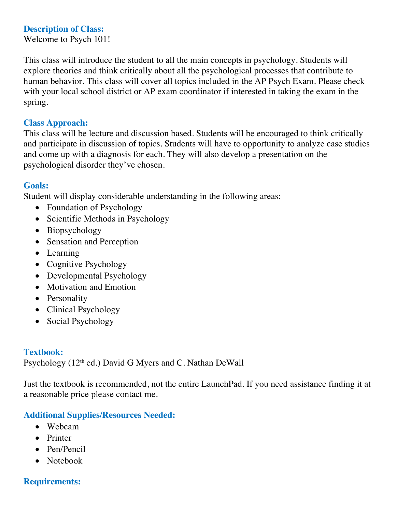# **Description of Class:**

Welcome to Psych 101!

This class will introduce the student to all the main concepts in psychology. Students will explore theories and think critically about all the psychological processes that contribute to human behavior. This class will cover all topics included in the AP Psych Exam. Please check with your local school district or AP exam coordinator if interested in taking the exam in the spring.

## **Class Approach:**

This class will be lecture and discussion based. Students will be encouraged to think critically and participate in discussion of topics. Students will have to opportunity to analyze case studies and come up with a diagnosis for each. They will also develop a presentation on the psychological disorder they've chosen.

## **Goals:**

Student will display considerable understanding in the following areas:

- Foundation of Psychology
- Scientific Methods in Psychology
- Biopsychology
- Sensation and Perception
- Learning
- Cognitive Psychology
- Developmental Psychology
- Motivation and Emotion
- Personality
- Clinical Psychology
- Social Psychology

### **Textbook:**

Psychology (12<sup>th</sup> ed.) David G Myers and C. Nathan DeWall

Just the textbook is recommended, not the entire LaunchPad. If you need assistance finding it at a reasonable price please contact me.

# **Additional Supplies/Resources Needed:**

- Webcam
- Printer
- Pen/Pencil
- Notebook

# **Requirements:**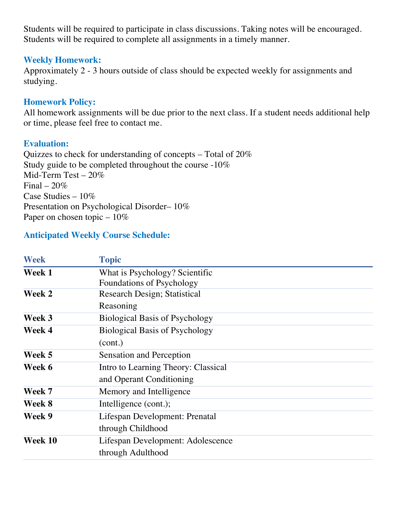Students will be required to participate in class discussions. Taking notes will be encouraged. Students will be required to complete all assignments in a timely manner.

### **Weekly Homework:**

Approximately 2 - 3 hours outside of class should be expected weekly for assignments and studying.

# **Homework Policy:**

All homework assignments will be due prior to the next class. If a student needs additional help or time, please feel free to contact me.

# **Evaluation:**

Quizzes to check for understanding of concepts – Total of 20% Study guide to be completed throughout the course -10% Mid-Term Test – 20% Final –  $20\%$ Case Studies – 10% Presentation on Psychological Disorder– 10% Paper on chosen topic  $-10\%$ 

# **Anticipated Weekly Course Schedule:**

| <b>Week</b> | <b>Topic</b>                          |
|-------------|---------------------------------------|
| Week 1      | What is Psychology? Scientific        |
|             | <b>Foundations of Psychology</b>      |
| Week 2      | <b>Research Design; Statistical</b>   |
|             | Reasoning                             |
| Week 3      | <b>Biological Basis of Psychology</b> |
| Week 4      | <b>Biological Basis of Psychology</b> |
|             | (cont.)                               |
| Week 5      | Sensation and Perception              |
| Week 6      | Intro to Learning Theory: Classical   |
|             | and Operant Conditioning              |
| Week 7      | Memory and Intelligence               |
| Week 8      | Intelligence (cont.);                 |
| Week 9      | Lifespan Development: Prenatal        |
|             | through Childhood                     |
| Week 10     | Lifespan Development: Adolescence     |
|             | through Adulthood                     |